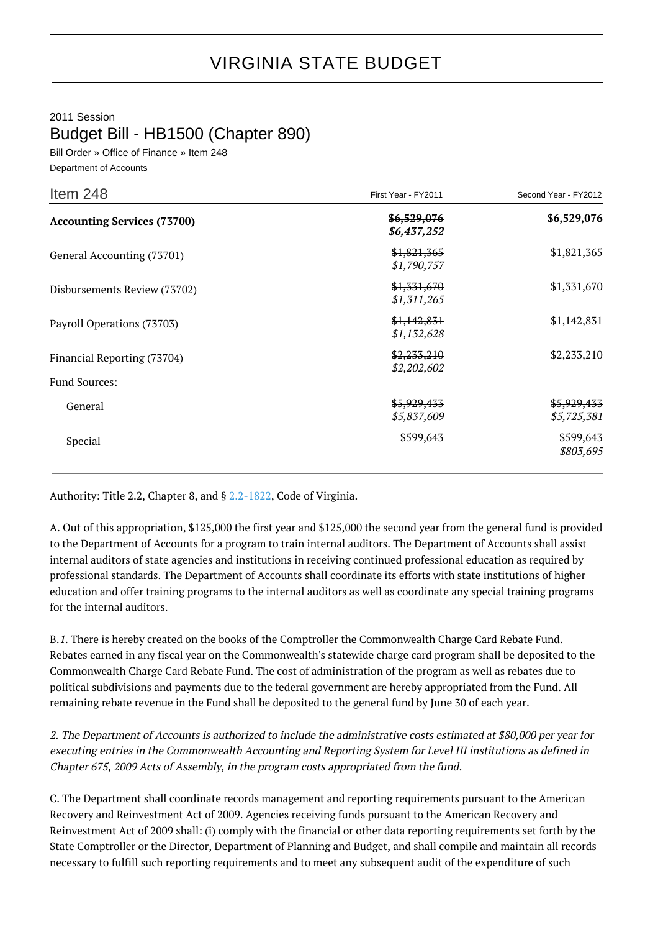## VIRGINIA STATE BUDGET

2011 Session Budget Bill - HB1500 (Chapter 890)

Bill Order » Office of Finance » Item 248 Department of Accounts

| Item 248                           | First Year - FY2011        | Second Year - FY2012       |
|------------------------------------|----------------------------|----------------------------|
| <b>Accounting Services (73700)</b> | \$6,529,076<br>\$6,437,252 | \$6,529,076                |
| General Accounting (73701)         | \$1,821,365<br>\$1,790,757 | \$1,821,365                |
| Disbursements Review (73702)       | \$1,331,670<br>\$1,311,265 | \$1,331,670                |
| Payroll Operations (73703)         | \$1,142,831<br>\$1,132,628 | \$1,142,831                |
| Financial Reporting (73704)        | \$2,233,210<br>\$2,202,602 | \$2,233,210                |
| Fund Sources:                      |                            |                            |
| General                            | \$5,929,433<br>\$5,837,609 | \$5,929,433<br>\$5,725,381 |
| Special                            | \$599,643                  | \$599,643<br>\$803,695     |

Authority: Title 2.2, Chapter 8, and § [2.2-1822](http://law.lis.virginia.gov/vacode/2.2-1822/), Code of Virginia.

A. Out of this appropriation, \$125,000 the first year and \$125,000 the second year from the general fund is provided to the Department of Accounts for a program to train internal auditors. The Department of Accounts shall assist internal auditors of state agencies and institutions in receiving continued professional education as required by professional standards. The Department of Accounts shall coordinate its efforts with state institutions of higher education and offer training programs to the internal auditors as well as coordinate any special training programs for the internal auditors.

B.1. There is hereby created on the books of the Comptroller the Commonwealth Charge Card Rebate Fund. Rebates earned in any fiscal year on the Commonwealth's statewide charge card program shall be deposited to the Commonwealth Charge Card Rebate Fund. The cost of administration of the program as well as rebates due to political subdivisions and payments due to the federal government are hereby appropriated from the Fund. All remaining rebate revenue in the Fund shall be deposited to the general fund by June 30 of each year.

2. The Department of Accounts is authorized to include the administrative costs estimated at \$80,000 per year for executing entries in the Commonwealth Accounting and Reporting System for Level III institutions as defined in Chapter 675, 2009 Acts of Assembly, in the program costs appropriated from the fund.

C. The Department shall coordinate records management and reporting requirements pursuant to the American Recovery and Reinvestment Act of 2009. Agencies receiving funds pursuant to the American Recovery and Reinvestment Act of 2009 shall: (i) comply with the financial or other data reporting requirements set forth by the State Comptroller or the Director, Department of Planning and Budget, and shall compile and maintain all records necessary to fulfill such reporting requirements and to meet any subsequent audit of the expenditure of such